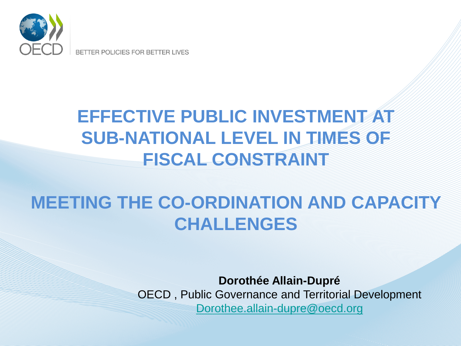

BETTER POLICIES FOR BETTER LIVES

## **EFFECTIVE PUBLIC INVESTMENT AT SUB-NATIONAL LEVEL IN TIMES OF FISCAL CONSTRAINT**

### **MEETING THE CO-ORDINATION AND CAPACITY CHALLENGES**

**Dorothée Allain-Dupré** OECD , Public Governance and Territorial Development [Dorothee.allain-dupre@oecd.org](mailto:Dorothee.allain-dupre@oecd.org)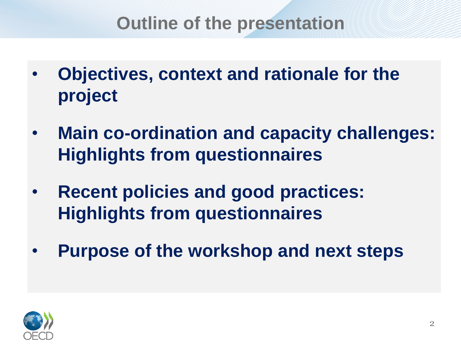#### **Outline of the presentation**

- **Objectives, context and rationale for the project**
- **Main co-ordination and capacity challenges: Highlights from questionnaires**
- **Recent policies and good practices: Highlights from questionnaires**
- **Purpose of the workshop and next steps**

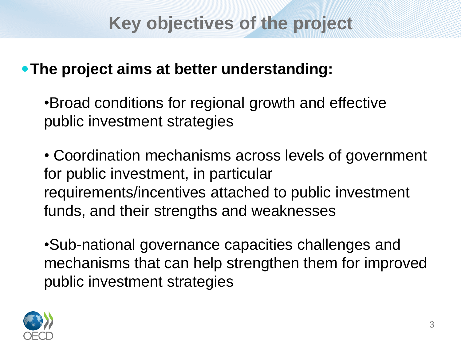#### **Key objectives of the project**

#### **The project aims at better understanding:**

•Broad conditions for regional growth and effective public investment strategies

• Coordination mechanisms across levels of government for public investment, in particular requirements/incentives attached to public investment funds, and their strengths and weaknesses

•Sub-national governance capacities challenges and mechanisms that can help strengthen them for improved public investment strategies

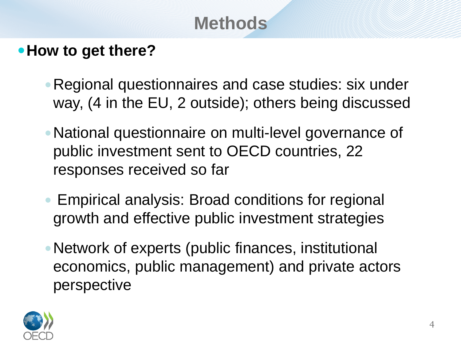# **Methods**

#### **How to get there?**

- Regional questionnaires and case studies: six under way, (4 in the EU, 2 outside); others being discussed
- National questionnaire on multi-level governance of public investment sent to OECD countries, 22 responses received so far
- Empirical analysis: Broad conditions for regional growth and effective public investment strategies
- Network of experts (public finances, institutional economics, public management) and private actors perspective

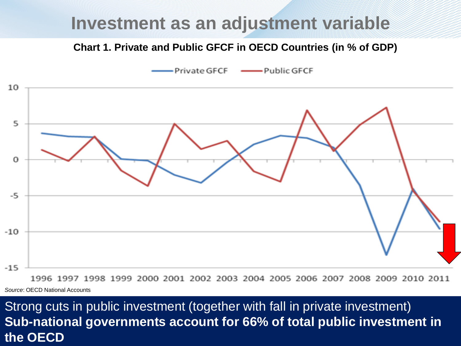#### **Investment as an adjustment variable**

#### **Chart 1. Private and Public GFCF in OECD Countries (in % of GDP)**



*Source*: OECD National Accounts

#### Strong cuts in public investment (together with fall in private investment) **Sub-national governments account for 66% of total public investment in the OECD**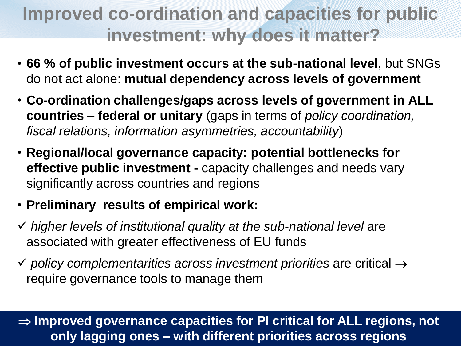# **Improved co-ordination and capacities for public investment: why does it matter?**

- **66 % of public investment occurs at the sub-national level**, but SNGs do not act alone: **mutual dependency across levels of government**
- **Co-ordination challenges/gaps across levels of government in ALL countries – federal or unitary** (gaps in terms of *policy coordination, fiscal relations, information asymmetries, accountability*)
- **Regional/local governance capacity: potential bottlenecks for effective public investment -** capacity challenges and needs vary significantly across countries and regions
- **Preliminary results of empirical work:**
- *higher levels of institutional quality at the sub-national level* are associated with greater effectiveness of EU funds
- $\checkmark$  policy complementarities across investment priorities are critical  $\to$ require governance tools to manage them

 **Improved governance capacities for PI critical for ALL regions, not only lagging ones – with different priorities across regions**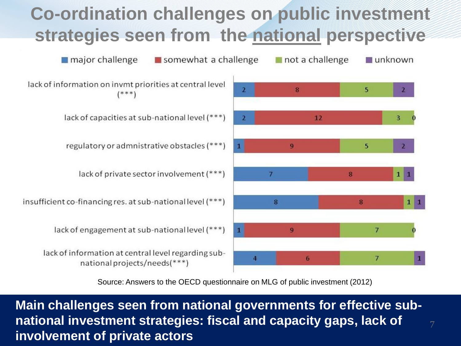# **Co-ordination challenges on public investment strategies seen from the national perspective**



Source: Answers to the OECD questionnaire on MLG of public investment (2012)

**Main challenges seen from national governments for effective subnational investment strategies: fiscal and capacity gaps, lack of involvement of private actors**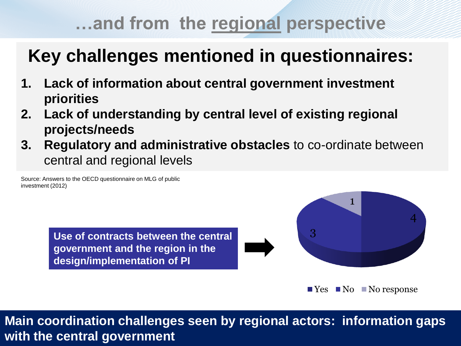## **…and from the regional perspective**

## **Key challenges mentioned in questionnaires:**

- **1. Lack of information about central government investment priorities**
- **2. Lack of understanding by central level of existing regional projects/needs**
- **3. Regulatory and administrative obstacles** to co-ordinate between central and regional levels

Source: Answers to the OECD questionnaire on MLG of public investment (2012)

> **Use of contracts between the central government and the region in the design/implementation of PI**



 $\blacksquare$  Yes  $\blacksquare$  No  $\blacksquare$  No response

**Main coordination challenges seen by regional actors: information gaps with the central government**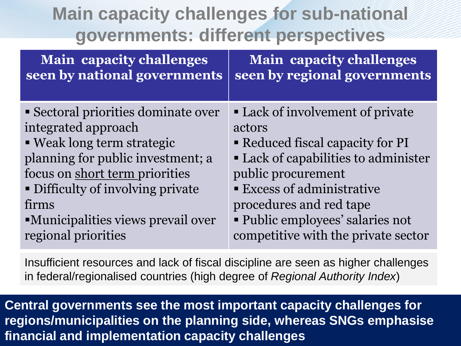## **Main capacity challenges for sub-national governments: different perspectives**

| <b>Main capacity challenges</b>          | <b>Main capacity challenges</b>      |
|------------------------------------------|--------------------------------------|
| seen by national governments             | seen by regional governments         |
| Sectoral priorities dominate over        | • Lack of involvement of private     |
| integrated approach                      | actors                               |
| • Weak long term strategic               | • Reduced fiscal capacity for PI     |
| planning for public investment; a        | • Lack of capabilities to administer |
| focus on short term priorities           | public procurement                   |
| • Difficulty of involving private        | <b>Excess of administrative</b>      |
| firms                                    | procedures and red tape              |
| <b>Municipalities views prevail over</b> | • Public employees' salaries not     |
| regional priorities                      | competitive with the private sector  |

Insufficient resources and lack of fiscal discipline are seen as higher challenges in federal/regionalised countries (high degree of *Regional Authority Index*)

**Central governments see the most important capacity challenges for regions/municipalities on the planning side, whereas SNGs emphasise financial and implementation capacity challenges**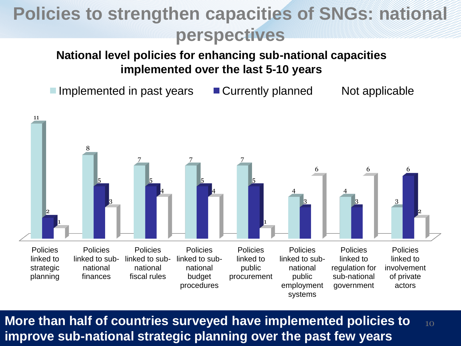# **Policies to strengthen capacities of SNGs: national perspectives**

#### **National level policies for enhancing sub-national capacities implemented over the last 5-10 years**

Implemented in past years  $\Box$  Currently planned Not applicable



**More than half of countries surveyed have implemented policies to improve sub-national strategic planning over the past few years** 10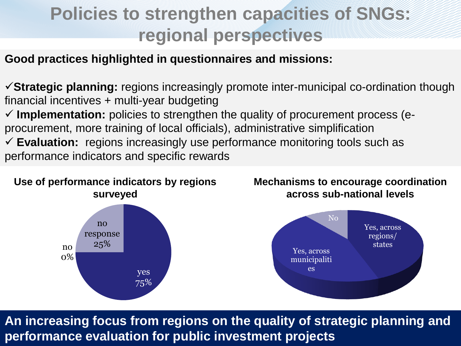## **Policies to strengthen capacities of SNGs: regional perspectives**

**Good practices highlighted in questionnaires and missions:**

**Strategic planning:** regions increasingly promote inter-municipal co-ordination though financial incentives + multi-year budgeting **Implementation:** policies to strengthen the quality of procurement process (eprocurement, more training of local officials), administrative simplification **Evaluation:** regions increasingly use performance monitoring tools such as performance indicators and specific rewards



**An increasing focus from regions on the quality of strategic planning and performance evaluation for public investment projects**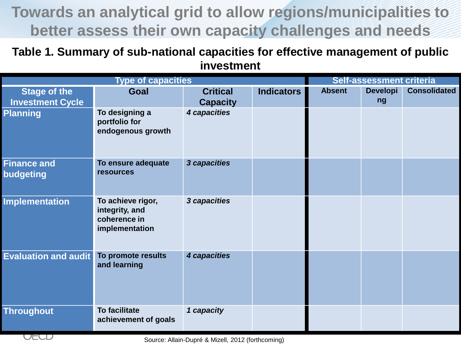#### **Towards an analytical grid to allow regions/municipalities to better assess their own capacity challenges and needs**

**Table 1. Summary of sub-national capacities for effective management of public investment**

| <b>Type of capacities</b>                      |                                                                       |                                    | Self-assessment criteria |               |                       |                     |
|------------------------------------------------|-----------------------------------------------------------------------|------------------------------------|--------------------------|---------------|-----------------------|---------------------|
| <b>Stage of the</b><br><b>Investment Cycle</b> | Goal                                                                  | <b>Critical</b><br><b>Capacity</b> | <b>Indicators</b>        | <b>Absent</b> | <b>Developi</b><br>ng | <b>Consolidated</b> |
| <b>Planning</b>                                | To designing a<br>portfolio for<br>endogenous growth                  | 4 capacities                       |                          |               |                       |                     |
| <b>Finance and</b><br>budgeting                | To ensure adequate<br><b>resources</b>                                | 3 capacities                       |                          |               |                       |                     |
| <b>Implementation</b>                          | To achieve rigor,<br>integrity, and<br>coherence in<br>implementation | 3 capacities                       |                          |               |                       |                     |
| <b>Evaluation and audit</b>                    | To promote results<br>and learning                                    | 4 capacities                       |                          |               |                       |                     |
| <b>Throughout</b>                              | <b>To facilitate</b><br>achievement of goals                          | 1 capacity                         |                          |               |                       |                     |

Source: Allain-Dupré & Mizell, 2012 (forthcoming)